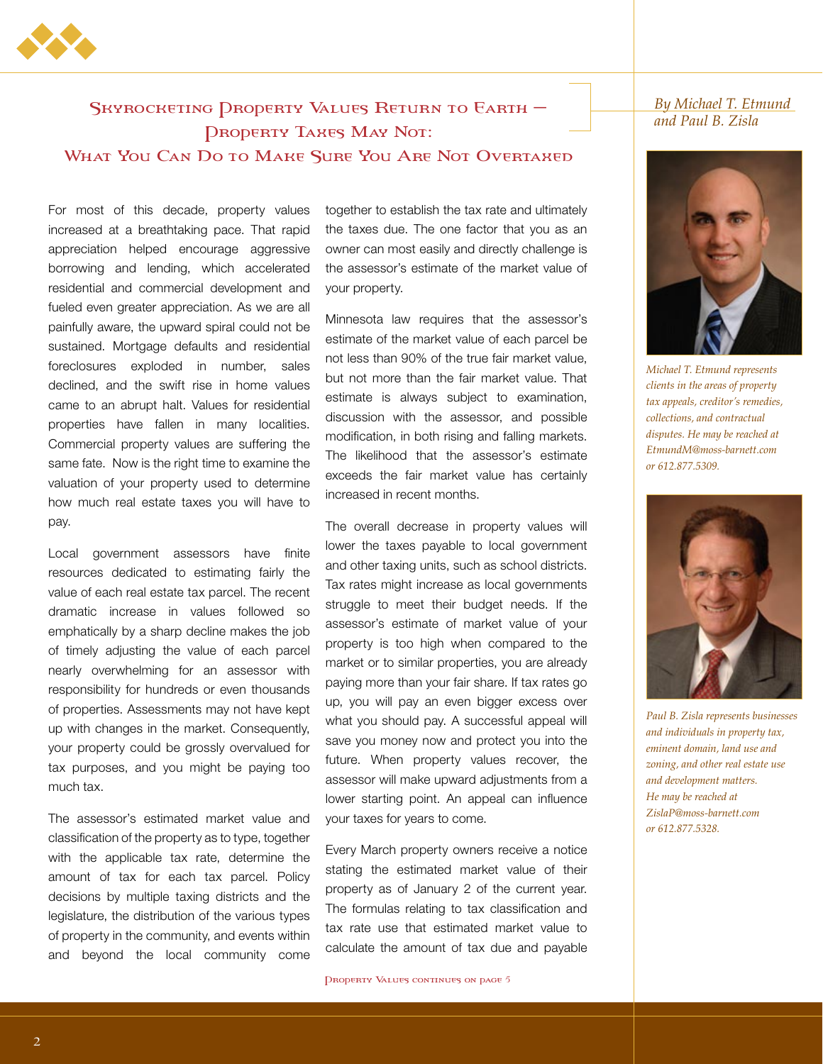

## SKYROCKETING DROPERTY VALUES RETURN TO EARTH -Property Taxes May Not: What You Can Do to Make Sure You Are Not Overtaxed

## For most of this decade, property values increased at a breathtaking pace. That rapid appreciation helped encourage aggressive borrowing and lending, which accelerated residential and commercial development and fueled even greater appreciation. As we are all painfully aware, the upward spiral could not be sustained. Mortgage defaults and residential foreclosures exploded in number, sales declined, and the swift rise in home values came to an abrupt halt. Values for residential properties have fallen in many localities. Commercial property values are suffering the same fate. Now is the right time to examine the valuation of your property used to determine how much real estate taxes you will have to pay.

Local government assessors have finite resources dedicated to estimating fairly the value of each real estate tax parcel. The recent dramatic increase in values followed so emphatically by a sharp decline makes the job of timely adjusting the value of each parcel nearly overwhelming for an assessor with responsibility for hundreds or even thousands of properties. Assessments may not have kept up with changes in the market. Consequently, your property could be grossly overvalued for tax purposes, and you might be paying too much tax.

The assessor's estimated market value and classification of the property as to type, together with the applicable tax rate, determine the amount of tax for each tax parcel. Policy decisions by multiple taxing districts and the legislature, the distribution of the various types of property in the community, and events within and beyond the local community come

together to establish the tax rate and ultimately the taxes due. The one factor that you as an owner can most easily and directly challenge is the assessor's estimate of the market value of your property.

Minnesota law requires that the assessor's estimate of the market value of each parcel be not less than 90% of the true fair market value, but not more than the fair market value. That estimate is always subject to examination, discussion with the assessor, and possible modification, in both rising and falling markets. The likelihood that the assessor's estimate exceeds the fair market value has certainly increased in recent months.

The overall decrease in property values will lower the taxes payable to local government and other taxing units, such as school districts. Tax rates might increase as local governments struggle to meet their budget needs. If the assessor's estimate of market value of your property is too high when compared to the market or to similar properties, you are already paying more than your fair share. If tax rates go up, you will pay an even bigger excess over what you should pay. A successful appeal will save you money now and protect you into the future. When property values recover, the assessor will make upward adjustments from a lower starting point. An appeal can influence your taxes for years to come.

Every March property owners receive a notice stating the estimated market value of their property as of January 2 of the current year. The formulas relating to tax classification and tax rate use that estimated market value to calculate the amount of tax due and payable

PROPERTY VALUES CONTINUES ON PAGE 5

## *By Michael T. Etmund and Paul B. Zisla*



*Michael T. Etmund represents clients in the areas of property tax appeals, creditor's remedies, collections, and contractual disputes. He may be reached at EtmundM@moss-barnett.com or 612.877.5309.*



*Paul B. Zisla represents businesses and individuals in property tax, eminent domain, land use and zoning, and other real estate use and development matters. He may be reached at ZislaP@moss-barnett.com or 612.877.5328.*

2